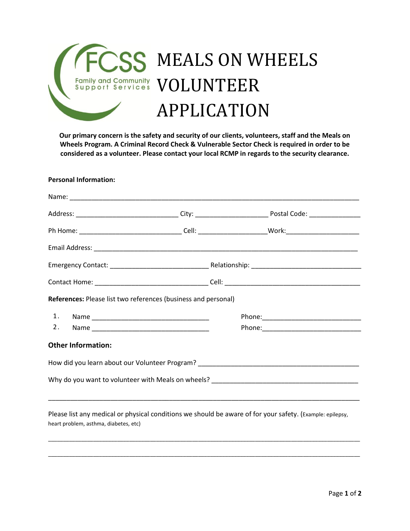

**Our primary concern is the safety and security of our clients, volunteers, staff and the Meals on Wheels Program. A Criminal Record Check & Vulnerable Sector Check is required in order to be considered as a volunteer. Please contact your local RCMP in regards to the security clearance.**

## **Personal Information:**

| References: Please list two references (business and personal) |                                                                                                           |
|----------------------------------------------------------------|-----------------------------------------------------------------------------------------------------------|
|                                                                |                                                                                                           |
|                                                                |                                                                                                           |
| <b>Other Information:</b>                                      |                                                                                                           |
|                                                                |                                                                                                           |
|                                                                |                                                                                                           |
|                                                                | Please list any medical or physical conditions we should be aware of for your safety. (Example: epilepsy, |

\_\_\_\_\_\_\_\_\_\_\_\_\_\_\_\_\_\_\_\_\_\_\_\_\_\_\_\_\_\_\_\_\_\_\_\_\_\_\_\_\_\_\_\_\_\_\_\_\_\_\_\_\_\_\_\_\_\_\_\_\_\_\_\_\_\_\_\_\_\_\_\_\_\_\_\_\_\_\_\_\_\_\_\_\_\_\_\_\_\_\_\_\_\_\_\_\_\_\_\_\_\_\_\_

\_\_\_\_\_\_\_\_\_\_\_\_\_\_\_\_\_\_\_\_\_\_\_\_\_\_\_\_\_\_\_\_\_\_\_\_\_\_\_\_\_\_\_\_\_\_\_\_\_\_\_\_\_\_\_\_\_\_\_\_\_\_\_\_\_\_\_\_\_\_\_\_\_\_\_\_\_\_\_\_\_\_\_\_\_\_\_\_\_\_\_\_\_\_\_\_\_\_\_\_\_\_\_\_

heart problem, asthma, diabetes, etc)